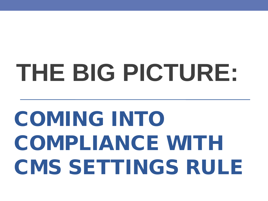# **THE BIG PICTURE:**

# COMING INTO COMPLIANCE WITH CMS SETTINGS RULE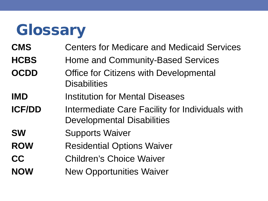### **Glossary**

- **CMS** Centers for Medicare and Medicaid Services
- **HCBS** Home and Community-Based Services
- **OCDD** Office for Citizens with Developmental **Disabilities**
- **IMD** Institution for Mental Diseases
- **ICF/DD** Intermediate Care Facility for Individuals with Developmental Disabilities
- **SW** Supports Waiver
- **ROW Residential Options Waiver**
- **CC** Children's Choice Waiver
- **NOW** New Opportunities Waiver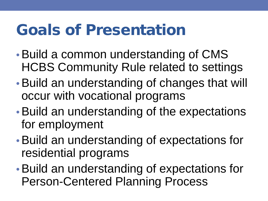### Goals of Presentation

- •Build a common understanding of CMS HCBS Community Rule related to settings
- •Build an understanding of changes that will occur with vocational programs
- •Build an understanding of the expectations for employment
- •Build an understanding of expectations for residential programs
- •Build an understanding of expectations for Person-Centered Planning Process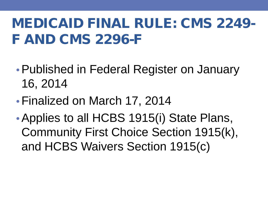#### MEDICAID FINAL RULE: CMS 2249- F AND CMS 2296-F

- •Published in Federal Register on January 16, 2014
- •Finalized on March 17, 2014
- Applies to all HCBS 1915(i) State Plans, Community First Choice Section 1915(k), and HCBS Waivers Section 1915(c)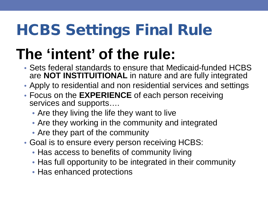# HCBS Settings Final Rule

# **The 'intent' of the rule:**

- Sets federal standards to ensure that Medicaid-funded HCBS are **NOT INSTITUITIONAL** in nature and are fully integrated
- Apply to residential and non residential services and settings
- Focus on the **EXPERIENCE** of each person receiving services and supports….
	- Are they living the life they want to live
	- Are they working in the community and integrated
	- Are they part of the community
- Goal is to ensure every person receiving HCBS:
	- Has access to benefits of community living
	- Has full opportunity to be integrated in their community
	- Has enhanced protections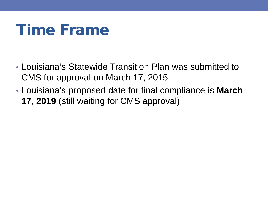### Time Frame

- Louisiana's Statewide Transition Plan was submitted to CMS for approval on March 17, 2015
- Louisiana's proposed date for final compliance is **March 17, 2019** (still waiting for CMS approval)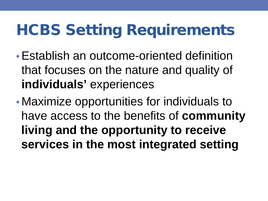- •Establish an outcome-oriented definition that focuses on the nature and quality of **individuals'** experiences
- Maximize opportunities for individuals to have access to the benefits of **community living and the opportunity to receive services in the most integrated setting**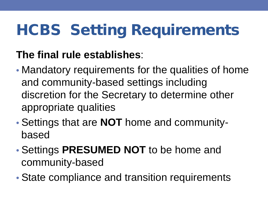#### **The final rule establishes**:

- Mandatory requirements for the qualities of home and community-based settings including discretion for the Secretary to determine other appropriate qualities
- Settings that are **NOT** home and communitybased
- Settings **PRESUMED NOT** to be home and community-based
- State compliance and transition requirements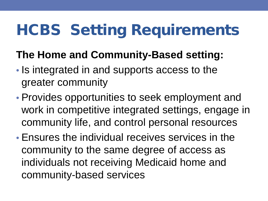#### **The Home and Community-Based setting:**

- Is integrated in and supports access to the greater community
- Provides opportunities to seek employment and work in competitive integrated settings, engage in community life, and control personal resources
- Ensures the individual receives services in the community to the same degree of access as individuals not receiving Medicaid home and community-based services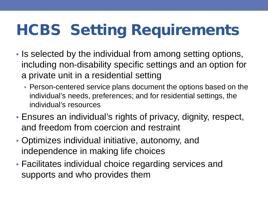- Is selected by the individual from among setting options, including non-disability specific settings and an option for a private unit in a residential setting
	- Person-centered service plans document the options based on the individual's needs, preferences; and for residential settings, the individual's resources
- Ensures an individual's rights of privacy, dignity, respect, and freedom from coercion and restraint
- Optimizes individual initiative, autonomy, and independence in making life choices
- Facilitates individual choice regarding services and supports and who provides them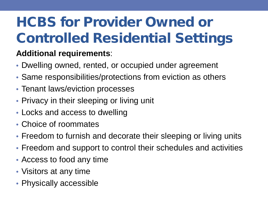### HCBS for Provider Owned or Controlled Residential Settings

#### **Additional requirements**:

- Dwelling owned, rented, or occupied under agreement
- Same responsibilities/protections from eviction as others
- Tenant laws/eviction processes
- Privacy in their sleeping or living unit
- Locks and access to dwelling
- Choice of roommates
- Freedom to furnish and decorate their sleeping or living units
- Freedom and support to control their schedules and activities
- Access to food any time
- Visitors at any time
- Physically accessible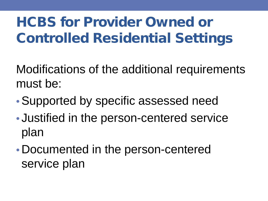### HCBS for Provider Owned or Controlled Residential Settings

Modifications of the additional requirements must be:

- •Supported by specific assessed need
- Justified in the person-centered service plan
- Documented in the person-centered service plan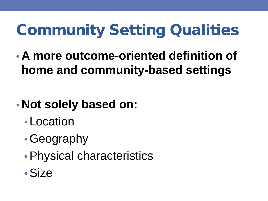## Community Setting Qualities

• **A more outcome**‐**oriented definition of home and community**‐**based settings**

#### • **Not solely based on:**

- Location
- •Geography
- •Physical characteristics
- •Size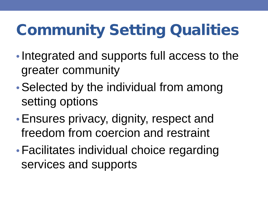# Community Setting Qualities

- Integrated and supports full access to the greater community
- Selected by the individual from among setting options
- •Ensures privacy, dignity, respect and freedom from coercion and restraint
- •Facilitates individual choice regarding services and supports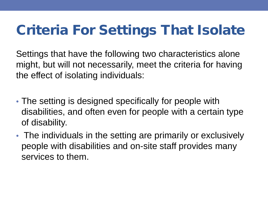#### Criteria For Settings That Isolate

Settings that have the following two characteristics alone might, but will not necessarily, meet the criteria for having the effect of isolating individuals:

- The setting is designed specifically for people with disabilities, and often even for people with a certain type of disability.
- The individuals in the setting are primarily or exclusively people with disabilities and on-site staff provides many services to them.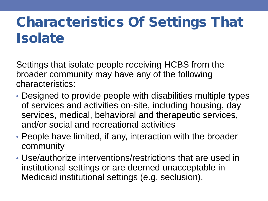#### Characteristics Of Settings That **Isolate**

Settings that isolate people receiving HCBS from the broader community may have any of the following characteristics:

- Designed to provide people with disabilities multiple types of services and activities on-site, including housing, day services, medical, behavioral and therapeutic services, and/or social and recreational activities
- People have limited, if any, interaction with the broader community
- Use/authorize interventions/restrictions that are used in institutional settings or are deemed unacceptable in Medicaid institutional settings (e.g. seclusion).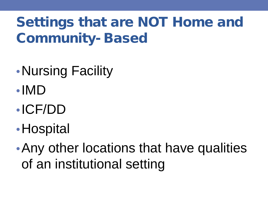#### Settings that are NOT Home and Community- Based

- •Nursing Facility
- •IMD
- •ICF/DD
- •Hospital
- Any other locations that have qualities of an institutional setting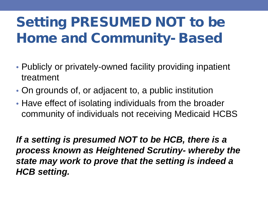#### Setting PRESUMED NOT to be Home and Community- Based

- Publicly or privately-owned facility providing inpatient treatment
- On grounds of, or adjacent to, a public institution
- Have effect of isolating individuals from the broader community of individuals not receiving Medicaid HCBS

*If a setting is presumed NOT to be HCB, there is a process known as Heightened Scrutiny- whereby the state may work to prove that the setting is indeed a HCB setting.*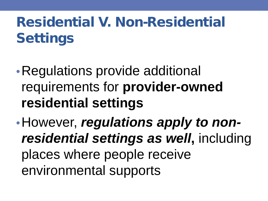#### Residential V. Non-Residential **Settings**

- •Regulations provide additional requirements for **provider-owned residential settings**
- •However, *regulations apply to nonresidential settings as well***,** including places where people receive environmental supports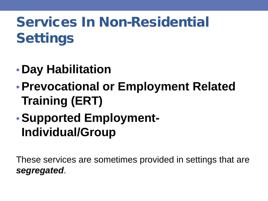#### Services In Non-Residential **Settings**

- **Day Habilitation**
- •**Prevocational or Employment Related Training (ERT)**
- •**Supported Employment-Individual/Group**

These services are sometimes provided in settings that are *segregated*.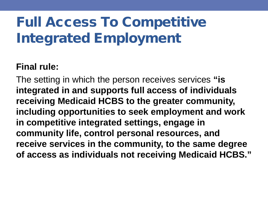#### Full Access To Competitive Integrated Employment

#### **Final rule:**

The setting in which the person receives services **"is integrated in and supports full access of individuals receiving Medicaid HCBS to the greater community, including opportunities to seek employment and work in competitive integrated settings, engage in community life, control personal resources, and receive services in the community, to the same degree of access as individuals not receiving Medicaid HCBS."**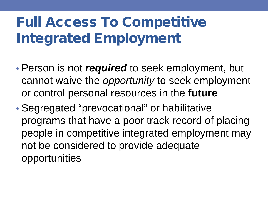#### Full Access To Competitive Integrated Employment

- Person is not *required* to seek employment, but cannot waive the *opportunity* to seek employment or control personal resources in the **future**
- Segregated "prevocational" or habilitative programs that have a poor track record of placing people in competitive integrated employment may not be considered to provide adequate opportunities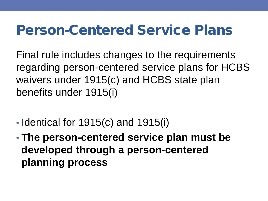Final rule includes changes to the requirements regarding person-centered service plans for HCBS waivers under 1915(c) and HCBS state plan benefits under 1915(i)

- Identical for 1915(c) and 1915(i)
- **The person-centered service plan must be developed through a person-centered planning process**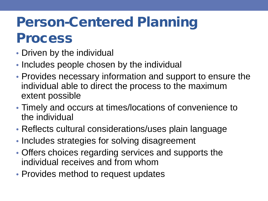#### Person-Centered Planning Process

- Driven by the individual
- Includes people chosen by the individual
- Provides necessary information and support to ensure the individual able to direct the process to the maximum extent possible
- Timely and occurs at times/locations of convenience to the individual
- Reflects cultural considerations/uses plain language
- Includes strategies for solving disagreement
- Offers choices regarding services and supports the individual receives and from whom
- Provides method to request updates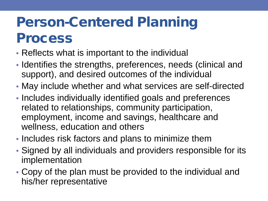#### Person-Centered Planning Process

- Reflects what is important to the individual
- Identifies the strengths, preferences, needs (clinical and support), and desired outcomes of the individual
- May include whether and what services are self-directed
- Includes individually identified goals and preferences related to relationships, community participation, employment, income and savings, healthcare and wellness, education and others
- Includes risk factors and plans to minimize them
- Signed by all individuals and providers responsible for its implementation
- Copy of the plan must be provided to the individual and his/her representative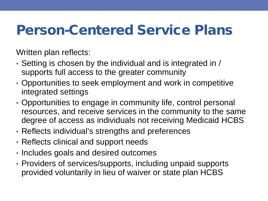Written plan reflects:

- Setting is chosen by the individual and is integrated in / supports full access to the greater community
- Opportunities to seek employment and work in competitive integrated settings
- Opportunities to engage in community life, control personal resources, and receive services in the community to the same degree of access as individuals not receiving Medicaid HCBS
- Reflects individual's strengths and preferences
- Reflects clinical and support needs
- Includes goals and desired outcomes
- Providers of services/supports, including unpaid supports provided voluntarily in lieu of waiver or state plan HCBS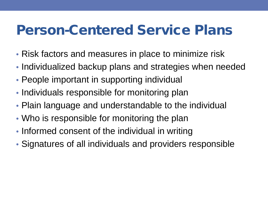- Risk factors and measures in place to minimize risk
- Individualized backup plans and strategies when needed
- People important in supporting individual
- Individuals responsible for monitoring plan
- Plain language and understandable to the individual
- Who is responsible for monitoring the plan
- Informed consent of the individual in writing
- Signatures of all individuals and providers responsible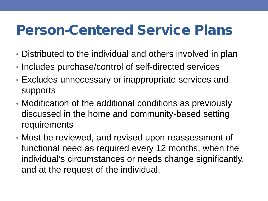- Distributed to the individual and others involved in plan
- Includes purchase/control of self-directed services
- Excludes unnecessary or inappropriate services and supports
- Modification of the additional conditions as previously discussed in the home and community-based setting requirements
- Must be reviewed, and revised upon reassessment of functional need as required every 12 months, when the individual's circumstances or needs change significantly, and at the request of the individual.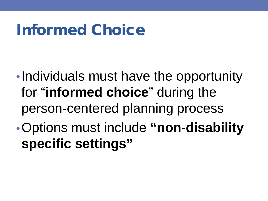### Informed Choice

- •Individuals must have the opportunity for "**informed choice**" during the person-centered planning process
- •Options must include **"non-disability specific settings"**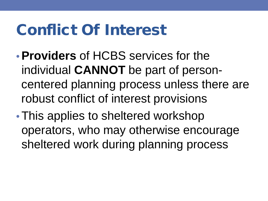### Conflict Of Interest

- •**Providers** of HCBS services for the individual **CANNOT** be part of personcentered planning process unless there are robust conflict of interest provisions
- This applies to sheltered workshop operators, who may otherwise encourage sheltered work during planning process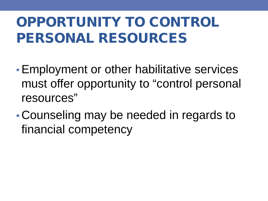#### OPPORTUNITY TO CONTROL PERSONAL RESOURCES

- •Employment or other habilitative services must offer opportunity to "control personal resources"
- Counseling may be needed in regards to financial competency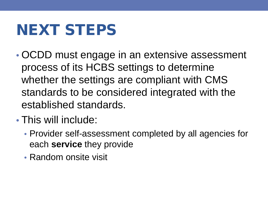### NEXT STEPS

- OCDD must engage in an extensive assessment process of its HCBS settings to determine whether the settings are compliant with CMS standards to be considered integrated with the established standards.
- This will include:
	- Provider self-assessment completed by all agencies for each **service** they provide
	- Random onsite visit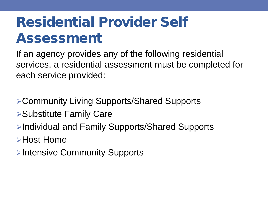#### Residential Provider Self Assessment

If an agency provides any of the following residential services, a residential assessment must be completed for each service provided:

- Community Living Supports/Shared Supports Substitute Family Care Individual and Family Supports/Shared Supports Host Home
- **Example 23 Fintensive Community Supports**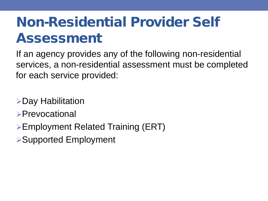#### Non-Residential Provider Self Assessment

If an agency provides any of the following non-residential services, a non-residential assessment must be completed for each service provided:

Day Habilitation

- **>Prevocational**
- Employment Related Training (ERT)
- Supported Employment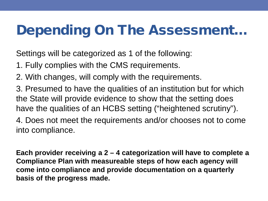#### Depending On The Assessment…

Settings will be categorized as 1 of the following:

- 1. Fully complies with the CMS requirements.
- 2. With changes, will comply with the requirements.
- 3. Presumed to have the qualities of an institution but for which the State will provide evidence to show that the setting does have the qualities of an HCBS setting ("heightened scrutiny").

4. Does not meet the requirements and/or chooses not to come into compliance.

**Each provider receiving a 2 – 4 categorization will have to complete a Compliance Plan with measureable steps of how each agency will come into compliance and provide documentation on a quarterly basis of the progress made.**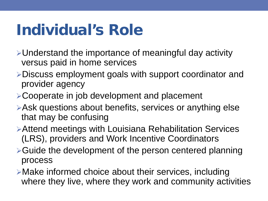### Individual's Role

- Understand the importance of meaningful day activity versus paid in home services
- Discuss employment goals with support coordinator and provider agency
- **≻Cooperate in job development and placement**
- Ask questions about benefits, services or anything else that may be confusing
- Attend meetings with Louisiana Rehabilitation Services (LRS), providers and Work Incentive Coordinators
- **≻Guide the development of the person centered planning** process
- Make informed choice about their services, including where they live, where they work and community activities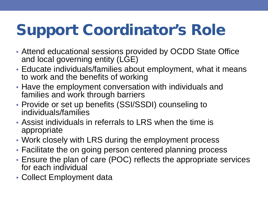## Support Coordinator's Role

- Attend educational sessions provided by OCDD State Office and local governing entity (LGE)
- Educate individuals/families about employment, what it means to work and the benefits of working
- Have the employment conversation with individuals and families and work through barriers
- Provide or set up benefits (SSI/SSDI) counseling to individuals/families
- Assist individuals in referrals to LRS when the time is appropriate
- Work closely with LRS during the employment process
- Facilitate the on going person centered planning process
- Ensure the plan of care (POC) reflects the appropriate services for each individual
- Collect Employment data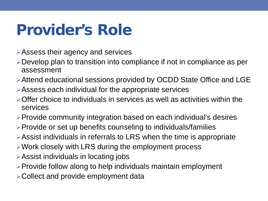#### Provider's Role

- Assess their agency and services
- Develop plan to transition into compliance if not in compliance as per assessment
- Attend educational sessions provided by OCDD State Office and LGE
- Assess each individual for the appropriate services
- Offer choice to individuals in services as well as activities within the services
- Provide community integration based on each individual's desires
- $\triangleright$  Provide or set up benefits counseling to individuals/families
- Assist individuals in referrals to LRS when the time is appropriate
- Work closely with LRS during the employment process
- Assist individuals in locating jobs
- $\triangleright$  Provide follow along to help individuals maintain employment
- **≻Collect and provide employment data**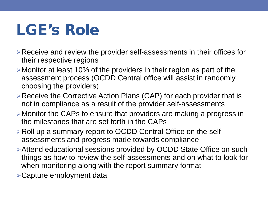### LGE's Role

- Receive and review the provider self-assessments in their offices for their respective regions
- Monitor at least 10% of the providers in their region as part of the assessment process (OCDD Central office will assist in randomly choosing the providers)
- **Example 2 Figure Figure Figure 2 Figure 2 Figure 2 Figure 7 Figure 2 Figure 2 Figure 2 Figure 2 Figure 2 Figure 2 Figure 2 Figure 2 Figure 2** Figure 2 Figure 2 Figure 2 Figure 2 Figure 2 Figure 2 Figure 2 Figure 2 Figure not in compliance as a result of the provider self-assessments
- Monitor the CAPs to ensure that providers are making a progress in the milestones that are set forth in the CAPs
- Roll up a summary report to OCDD Central Office on the selfassessments and progress made towards compliance
- Attend educational sessions provided by OCDD State Office on such things as how to review the self-assessments and on what to look for when monitoring along with the report summary format
- Capture employment data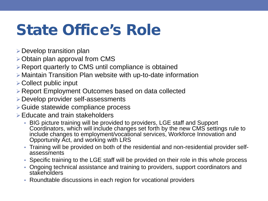### State Office's Role

- $\triangleright$  Develop transition plan
- $\triangleright$  Obtain plan approval from CMS
- Report quarterly to CMS until compliance is obtained
- Maintain Transition Plan website with up-to-date information
- $\triangleright$  Collect public input
- Report Employment Outcomes based on data collected
- Develop provider self-assessments
- Guide statewide compliance process
- $\triangleright$  Educate and train stakeholders
	- BIG picture training will be provided to providers, LGE staff and Support Coordinators, which will include changes set forth by the new CMS settings rule to include changes to employment/vocational services, Workforce Innovation and Opportunity Act, and working with LRS
	- Training will be provided on both of the residential and non-residential provider self- assessments
	- Specific training to the LGE staff will be provided on their role in this whole process
	- Ongoing technical assistance and training to providers, support coordinators and stakeholders
	- Roundtable discussions in each region for vocational providers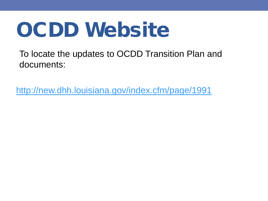# OCDD Website

To locate the updates to OCDD Transition Plan and documents:

<http://new.dhh.louisiana.gov/index.cfm/page/1991>